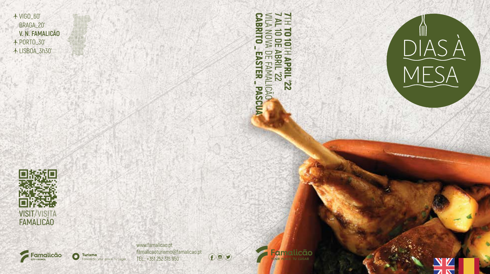

VILA NOVA DE FAMALICÃO **7 AL 10 DE ABRIL '22** 2 **CABRITO** CABRITO \_ EASTER \_ PASCUA TH TO 10NOVA  $\bullet$  $\overline{H}$  $\overline{\mathbf{r}}$  $\overline{R}$ **ABRIL** EASTER **ZZ, TREV APRIL'22 FAMALICÃO**  $\overline{z}$ -PASCUA







**Turismo** .<br>Famalicão your place Tu Lugar

www.famalicao.pt famalicaoturismo@famalicao.pt  $\bigoplus \mathsf{O}$ TEL.: +351 252 315 950

**Famalicão**